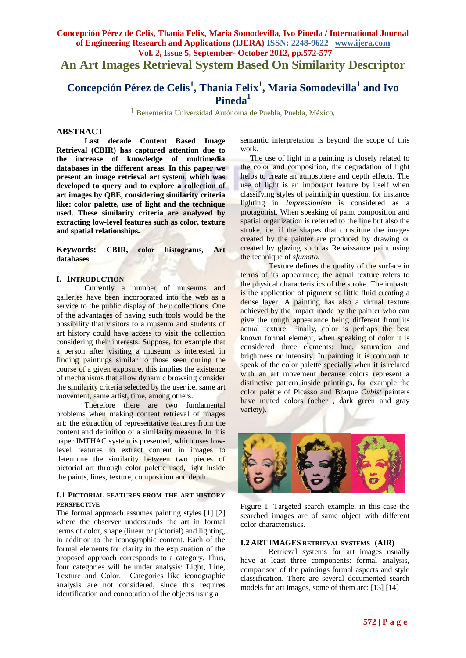**An Art Images Retrieval System Based On Similarity Descriptor**

# **Concepción Pérez de Celis<sup>1</sup> , Thania Felix<sup>1</sup> , Maria Somodevilla<sup>1</sup> and Ivo Pineda<sup>1</sup>**

1 Benemérita Universidad Autónoma de Puebla, Puebla, México,

## **ABSTRACT**

**Last decade Content Based Image Retrieval (CBIR) has captured attention due to the increase of knowledge of multimedia databases in the different areas. In this paper we present an image retrieval art system, which was developed to query and to explore a collection of art images by QBE, considering similarity criteria like: color palette, use of light and the technique used. These similarity criteria are analyzed by extracting low-level features such as color, texture and spatial relationships.**

**Keywords: CBIR, color histograms, Art databases**

# **I. INTRODUCTION**

Currently a number of museums and galleries have been incorporated into the web as a service to the public display of their collections. One of the advantages of having such tools would be the possibility that visitors to a museum and students of art history could have access to visit the collection considering their interests. Suppose, for example that a person after visiting a museum is interested in finding paintings similar to those seen during the course of a given exposure, this implies the existence of mechanisms that allow dynamic browsing consider the similarity criteria selected by the user i.e. same art movement, same artist, time, among others.

Therefore there are two fundamental problems when making content retrieval of images art: the extraction of representative features from the content and definition of a similarity measure. In this paper IMTHAC system is presented, which uses lowlevel features to extract content in images to determine the similarity between two pieces of pictorial art through color palette used, light inside the paints, lines, texture, composition and depth.

## **I.1 PICTORIAL FEATURES FROM THE ART HISTORY PERSPECTIVE**

The formal approach assumes painting styles [1] [2] where the observer understands the art in formal terms of color, shape (linear or pictorial) and lighting, in addition to the iconographic content. Each of the formal elements for clarity in the explanation of the proposed approach corresponds to a category. Thus, four categories will be under analysis: Light, Line, Texture and Color. Categories like iconographic analysis are not considered, since this requires identification and connotation of the objects using a

semantic interpretation is beyond the scope of this work.

 The use of light in a painting is closely related to the color and composition, the degradation of light helps to create an atmosphere and depth effects. The use of light is an important feature by itself when classifying styles of painting in question, for instance lighting in *Impressionism* is considered as a protagonist. When speaking of paint composition and spatial organization is referred to the line but also the stroke, i.e. if the shapes that constitute the images created by the painter are produced by drawing or created by glazing such as Renaissance paint using the technique of *sfumato*.

Texture defines the quality of the surface in terms of its appearance; the actual texture refers to the physical characteristics of the stroke. The impasto is the application of pigment so little fluid creating a dense layer. A painting has also a virtual texture achieved by the impact made by the painter who can give the rough appearance being different from its actual texture. Finally, color is perhaps the best known formal element, when speaking of color it is considered three elements: hue, saturation and brightness or intensity. In painting it is common to speak of the color palette specially when it is related with an art movement because colors represent a distinctive pattern inside paintings, for example the color palette of Picasso and Braque *Cubist* painters have muted colors (ocher , dark green and gray variety).



Figure 1. Targeted search example, in this case the searched images are of same object with different color characteristics.

## **I.2 ART IMAGES RETRIEVAL SYSTEMS (AIR)**

Retrieval systems for art images usually have at least three components: formal analysis, comparison of the paintings formal aspects and style classification. There are several documented search models for art images, some of them are: [13] [14]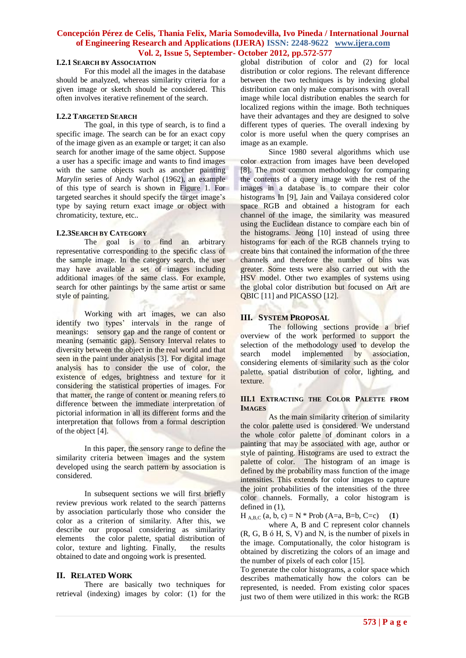#### **I.2.1 SEARCH BY ASSOCIATION**

For this model all the images in the database should be analyzed, whereas similarity criteria for a given image or sketch should be considered. This often involves iterative refinement of the search.

## **I.2.2 TARGETED SEARCH**

The goal, in this type of search, is to find a specific image. The search can be for an exact copy of the image given as an example or target; it can also search for another image of the same object. Suppose a user has a specific image and wants to find images with the same objects such as another painting *Marylin* series of Andy Warhol (1962), an example of this type of search is shown in Figure 1. For targeted searches it should specify the target image's type by saying return exact image or object with chromaticity, texture, etc..

## **I.2.3SEARCH BY CATEGORY**

The goal is to find an arbitrary representative corresponding to the specific class of the sample image. In the category search, the user may have available a set of images including additional images of the same class. For example, search for other paintings by the same artist or same style of painting.

Working with art images, we can also identify two types' intervals in the range of meanings: sensory gap and the range of content or meaning (semantic gap). Sensory Interval relates to diversity between the object in the real world and that seen in the paint under analysis [3]. For digital image analysis has to consider the use of color, the existence of edges, brightness and texture for it considering the statistical properties of images. For that matter, the range of content or meaning refers to difference between the immediate interpretation of pictorial information in all its different forms and the interpretation that follows from a formal description of the object [4].

In this paper, the sensory range to define the similarity criteria between images and the system developed using the search pattern by association is considered.

In subsequent sections we will first briefly review previous work related to the search patterns by association particularly those who consider the color as a criterion of similarity. After this, we describe our proposal considering as similarity elements the color palette, spatial distribution of color, texture and lighting. Finally, the results obtained to date and ongoing work is presented.

## **II. RELATED WORK**

There are basically two techniques for retrieval (indexing) images by color: (1) for the global distribution of color and (2) for local distribution or color regions. The relevant difference between the two techniques is by indexing global distribution can only make comparisons with overall image while local distribution enables the search for localized regions within the image. Both techniques have their advantages and they are designed to solve different types of queries. The overall indexing by color is more useful when the query comprises an image as an example.

Since 1980 several algorithms which use color extraction from images have been developed [8]. The most common methodology for comparing the contents of a query image with the rest of the images in a database is to compare their color histograms In [9], Jain and Vailaya considered color space RGB and obtained a histogram for each channel of the image, the similarity was measured using the Euclidean distance to compare each bin of the histograms. Jeong [10] instead of using three histograms for each of the RGB channels trying to create bins that contained the information of the three channels and therefore the number of bins was greater. Some tests were also carried out with the HSV model. Other two examples of systems using the global color distribution but focused on Art are QBIC [11] and PICASSO [12].

## **III. SYSTEM PROPOSAL**

The following sections provide a brief overview of the work performed to support the selection of the methodology used to develop the<br>search model implemented by association, search model implemented by association, considering elements of similarity such as the color palette, spatial distribution of color, lighting, and texture.

## **III.1 EXTRACTING THE COLOR PALETTE FROM IMAGES**

As the main similarity criterion of similarity the color palette used is considered. We understand the whole color palette of dominant colors in a painting that may be associated with age, author or style of painting. Histograms are used to extract the palette of color. The histogram of an image is defined by the probability mass function of the image intensities. This extends for color images to capture the joint probabilities of the intensities of the three color channels. Formally, a color histogram is defined in (1),

 $H_{A,B,C}$  (a, b, c) = N \* Prob (A=a, B=b, C=c) (1)

where A, B and C represent color channels (R, G, B ó H, S, V) and N, is the number of pixels in the image. Computationally, the color histogram is obtained by discretizing the colors of an image and the number of pixels of each color [15].

To generate the color histograms, a color space which describes mathematically how the colors can be represented, is needed. From existing color spaces just two of them were utilized in this work: the RGB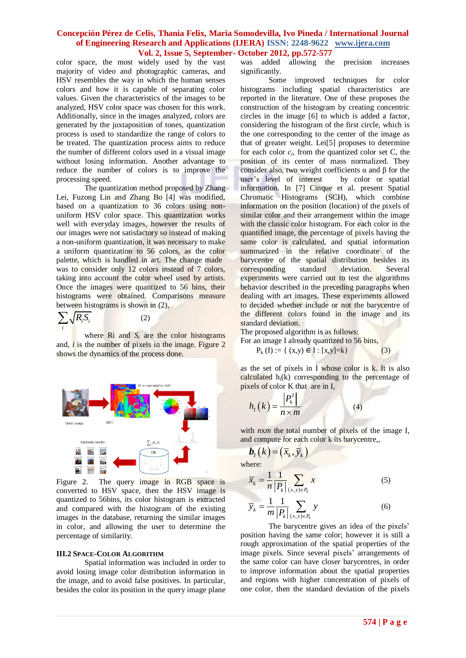color space, the most widely used by the vast majority of video and photographic cameras, and HSV resembles the way in which the human senses colors and how it is capable of separating color values. Given the characteristics of the images to be analyzed, HSV color space was chosen for this work. Additionally, since in the images analyzed, colors are generated by the juxtaposition of tones, quantization process is used to standardize the range of colors to be treated. The quantization process aims to reduce the number of different colors used in a visual image without losing information. Another advantage to reduce the number of colors is to improve the processing speed.

The quantization method proposed by Zhang Lei, Fuzong Lin and Zhang Bo [4] was modified, based on a quantization to 36 colors using nonuniform HSV color space. This quantization works well with everyday images, however the results of our images were not satisfactory so instead of making a non-uniform quantization, it was necessary to make a uniform quantization to 56 colors, as the color palette, which is handled in art. The change made was to consider only 12 colors instead of 7 colors, taking into account the color wheel used by artists. Once the images were quantized to 56 bins, their histograms were obtained. Comparisons measure between histograms is shown in (2),

$$
\sum_i \sqrt{R_i S_i}
$$

where Ri and *S<sub>i</sub>* are the color histograms and,  $i$  is the number of pixels in the image. Figure  $2$ shows the dynamics of the process done.

(2)



Figure 2. The query image in RGB space is converted to HSV space, then the HSV image is quantized to 56bins, its color histogram is extracted and compared with the histogram of the existing images in the database, returning the similar images in color, and allowing the user to determine the percentage of similarity.

#### **III.2 SPACE-COLOR ALGORITHM**

Spatial information was included in order to avoid losing image color distribution information in the image, and to avoid false positives. In particular, besides the color its position in the query image plane

was added allowing the precision increases significantly.

Some improved techniques for color histograms including spatial characteristics are reported in the literature. One of these proposes the construction of the histogram by creating concentric circles in the image [6] to which is added a factor, considering the histogram of the first circle, which is the one corresponding to the center of the image as that of greater weight. Lei[5] proposes to determine for each color  $c_i$ , from the quantized color set C, the position of its center of mass normalized. They consider also, two weight coefficients  $α$  and  $β$  for the user's level of interest by color or spatial information. In [7] Cinque et al. present Spatial Chromatic Histograms (SCH), which combine information on the position (location) of the pixels of similar color and their arrangement within the image with the classic color histogram. For each color in the quantified image, the percentage of pixels having the same color is calculated, and spatial information summarized in the relative coordinate of the barycentre of the spatial distribution besides its corresponding standard deviation. Several experiments were carried out to test the algorithms behavior described in the preceding paragraphs when dealing with art images. These experiments allowed to decided whether include or not the barycentre of the different colors found in the image and its standard deviation.

The proposed algorithm is as follows:

For an image I already quantized to 56 bins,

 $P_k (I) := \{ (x,y) \in I : [x,y]=k \}$  (3)

as the set of pixels in I whose color is k. It is also calculated  $h_i(k)$  corresponding to the percentage of pixels of color K that are in I,

$$
h_{I}(k) = \frac{|P_{k}^{I}|}{n \times m}
$$
 (4)

with  $n x m$  the total number of pixels of the image I, and compute for each color k its barycentre,,

$$
\boldsymbol{b}_I(k) = (\overline{x}_k, \overline{y}_k)
$$
  
where:

 $(x, y)$ 1 1 *k*  $\binom{k}{k}$   $\binom{k}{k}$   $\binom{k}{x,y}$  $\bar{x}_k = \frac{1}{n} \frac{1}{|R|} \sum x$  $=\frac{1}{n}\frac{1}{|P_k|}\sum_{(x,y)\in R_k}$ (5)  $(x, y)$  $\frac{1}{1}$  1 *k*  $\frac{k}{m}$   $\boxed{P_k}$   $\boxed{(x,y)\in P_k}$  $\overline{y}_k = \frac{1}{m} \frac{1}{|R|} \sum y$  $=\frac{1}{m}\frac{1}{|P_k|}\sum_{(x,y)\in\mathbb{R}}$ (6)

The barycentre gives an idea of the pixels' position having the same color; however it is still a rough approximation of the spatial properties of the image pixels. Since several pixels' arrangements of the same color can have closer barycentres, in order to improve information about the spatial properties and regions with higher concentration of pixels of one color, then the standard deviation of the pixels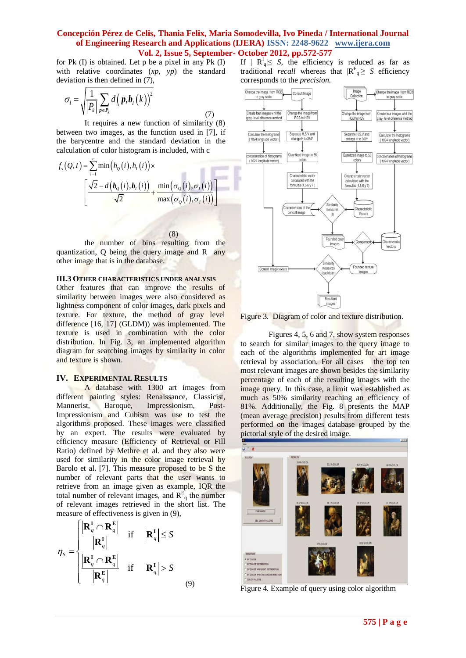(7)

for Pk (I) is obtained. Let p be a pixel in any Pk (I) with relative coordinates (*xp*, *yp*) the standard deviation is then defined in (7),

$$
\sigma_{\scriptscriptstyle l} = \sqrt{\frac{1}{|P_k|} \sum_{p \in P_k} d\big(\bm{p}, \bm{b}_{\scriptscriptstyle I}\big(k\big)\big)^2}
$$

It requires a new function of similarity (8) between two images, as the function used in [7], if the barycentre and the standard deviation in the

calculation of color histogram is included, with c  
\n
$$
f_s(Q,I) = \sum_{i=1}^{c} \min(h_Q(i), h_I(i)) \times \left[ \frac{\sqrt{2} - d(b_Q(i), b_I(i))}{\sqrt{2}} + \frac{\min(\sigma_Q(i), \sigma_I(i))}{\max(\sigma_Q(i), \sigma_I(i))} \right]
$$

(8)

the number of bins resulting from the quantization, Q being the query image and R any other image that is in the database.

## **III.3 OTHER CHARACTERISTICS UNDER ANALYSIS**

Other features that can improve the results of similarity between images were also considered as lightness component of color images, dark pixels and texture. For texture, the method of gray level difference [16, 17] (GLDM)) was implemented. The texture is used in combination with the color distribution. In Fig. 3, an implemented algorithm diagram for searching images by similarity in color and texture is shown.

#### **IV. EXPERIMENTAL RESULTS**

A database with 1300 art images from different painting styles: Renaissance, Classicist, Mannerist, Baroque, Impressionism, Post-Impressionism and Cubism was use to test the algorithms proposed. These images were classified by an expert. The results were evaluated by efficiency measure (Efficiency of Retrieval or Fill Ratio) defined by Methre et al. and they also were used for similarity in the color image retrieval by Barolo et al. [7]. This measure proposed to be S the number of relevant parts that the user wants to retrieve from an image given as example, IQR the total number of relevant images, and  $R_{q}^{E}$  the number of relevant images retrieved in the short list. The

measure of effectiveness is given in (9),  
\n
$$
\eta_{S} = \begin{cases}\n\frac{\mathbf{R}_{q}^{I} \cap \mathbf{R}_{q}^{E}}{\mathbf{R}_{q}^{I}} & \text{if } |\mathbf{R}_{q}^{I}| \leq S \\
\frac{\mathbf{R}_{q}^{I} \cap \mathbf{R}_{q}^{E}}{\mathbf{R}_{q}^{E}} & \text{if } |\mathbf{R}_{q}^{I}| > S\n\end{cases}
$$
\n(9)

If  $|R_q| \leq S$ , the efficiency is reduced as far as traditional *recall* whereas that  $|R^E| \geq S$  efficiency corresponds to the *precision*.





Figures 4, 5, 6 and 7, show system responses to search for similar images to the query image to each of the algorithms implemented for art image retrieval by association. For all cases the top ten most relevant images are shown besides the similarity percentage of each of the resulting images with the image query. In this case, a limit was established as much as 50% similarity reaching an efficiency of 81%. Additionally, the Fig. 8 presents the MAP (mean average precision) results from different tests performed on the images database grouped by the pictorial style of the desired image.



Figure 4. Example of query using color algorithm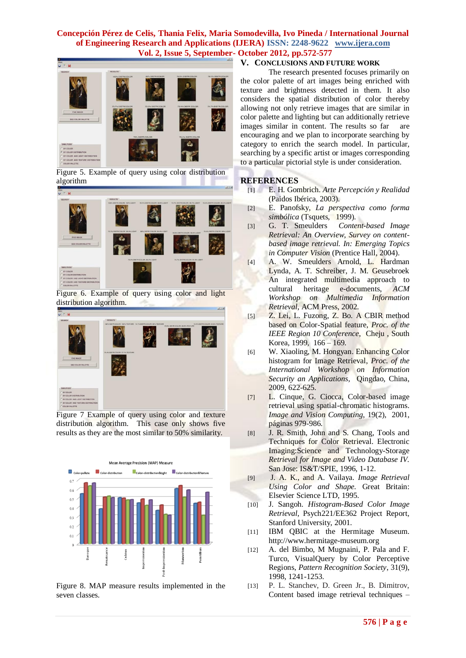

Figure 5. Example of query using color distribution algorithm



Figure 6. Example of query using color and light distribution algorithm.



Figure 7 Example of query using color and texture distribution algorithm. This case only shows five results as they are the most similar to 50% similarity.



Figure 8. MAP measure results implemented in the seven classes.

## **V. CONCLUSIONS AND FUTURE WORK**

The research presented focuses primarily on the color palette of art images being enriched with texture and brightness detected in them. It also considers the spatial distribution of color thereby allowing not only retrieve images that are similar in color palette and lighting but can additionally retrieve images similar in content. The results so far are encouraging and we plan to incorporate searching by category to enrich the search model. In particular, searching by a specific artist or images corresponding to a particular pictorial style is under consideration.

## **REFERENCES**

- [1] E. H. Gombrich. *Arte Percepción y Realidad* (Paidos Ibérica, 2003).
- [2] E. Panofsky, *La perspectiva como forma simbólica* (Tsquets, 1999).
- [3] G. T. Smeulders *Content-based Image Retrieval: An Overview, Survey on contentbased image retrieval. In: Emerging Topics in Computer Vision* (Prentice Hall, 2004).
- [4] A. W. Smeulders Arnold, L. Hardman Lynda, A. T. Schreiber, J. M. Geusebroek An integrated multimedia approach to cultural heritage e-documents, *ACM Workshop on Multimedia Information Retrieval*, ACM Press, 2002.
- [5] Z. Lei, L. Fuzong, Z. Bo. A CBIR method based on Color-Spatial feature, *Proc. of the IEEE Region 10 Conference*, Cheju , South Korea, 1999, 166 – 169.
- [6] W. Xiaoling, M. Hongyan. Enhancing Color histogram for Image Retrieval, *Proc. of the International Workshop on Information Security an Applications,* Qingdao, China, 2009, 622-625.
- [7] L. Cinque, G. Ciocca, Color-based image retrieval using spatial-chromatic histograms. *Image and Vision Computing*, 19(2), 2001, páginas 979-986.
- [8] J. R. Smith, John and S. Chang, Tools and Techniques for Color Retrieval. Electronic Imaging:Science and Technology-Storage *Retrieval for Image and Video Database IV.* San Jose: IS&T/SPIE, 1996, 1-12.
- [9] J. A. K., and A. Vailaya. *Image Retrieval Using Color and Shape.* Great Britain: Elsevier Science LTD, 1995.
- [10] J. Sangoh. *Histogram-Based Color Image Retrieval*, Psych221/EE362 Project Report, Stanford University, 2001.
- [11] IBM QBIC at the Hermitage Museum. http://www.hermitage-museum.org
- [12] A. del Bimbo, M Mugnaini, P. Pala and F. Turco, VisualQuery by Color Perceptive Regions, *Pattern Recognition Society*, 31(9), 1998, 1241-1253.
- [13] P. L. Stanchev, D. Green Jr., B. Dimitrov, Content based image retrieval techniques –